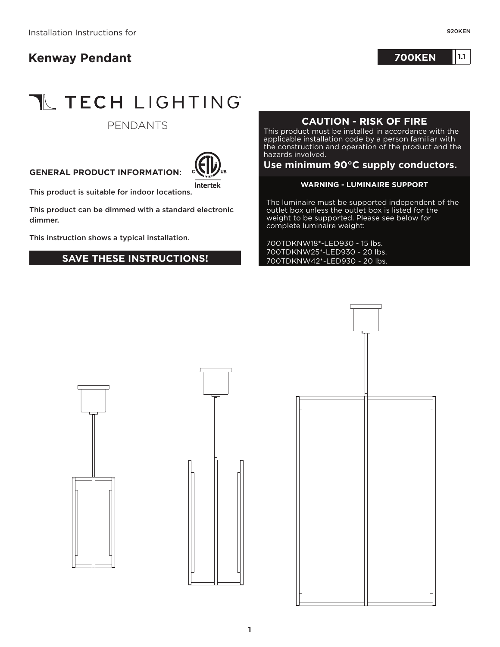## **Kenway Pendant**

**700KEN 1.1 <sup>10</sup>**

# **TL TECH LIGHTING**

#### PENDANTS

#### **GENERAL PRODUCT INFORMATION:**



This product is suitable for indoor locations.

This product can be dimmed with a standard electronic dimmer.

This instruction shows a typical installation.

#### **SAVE THESE INSTRUCTIONS!**

### **CAUTION - RISK OF FIRE**

This product must be installed in accordance with the applicable installation code by a person familiar with the construction and operation of the product and the hazards involved.

#### **Use minimum 90°C supply conductors.**

#### **WARNING - LUMINAIRE SUPPORT**

The luminaire must be supported independent of the outlet box unless the outlet box is listed for the weight to be supported. Please see below for complete luminaire weight:

700TDKNW18\*-LED930 - 15 lbs. 700TDKNW25\*-LED930 - 20 lbs. 700TDKNW42\*-LED930 - 20 lbs.